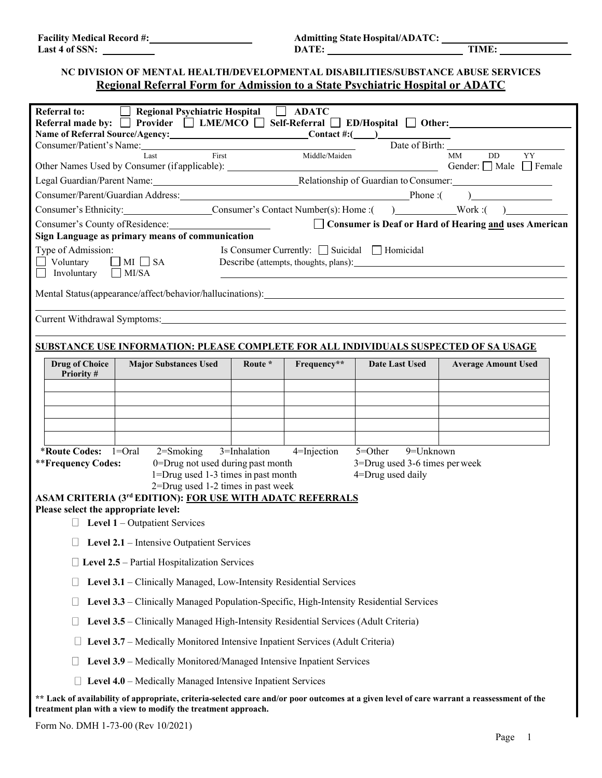**LAST 4 OF TIME:** TIME:

## **NC DIVISION OF MENTAL HEALTH/DEVELOPMENTAL DISABILITIES/SUBSTANCE ABUSE SERVICES Regional Referral Form for Admission to a State Psychiatric Hospital or ADATC**

| <b>Referral to:</b>                  | Regional Psychiatric Hospital   ADATC                                                                                                                                                                                          |              |                |                                                            |                                                                                                       |
|--------------------------------------|--------------------------------------------------------------------------------------------------------------------------------------------------------------------------------------------------------------------------------|--------------|----------------|------------------------------------------------------------|-------------------------------------------------------------------------------------------------------|
|                                      |                                                                                                                                                                                                                                |              |                |                                                            | Referral made by: □ Provider □ LME/MCO □ Self-Referral □ ED/Hospital □ Other:                         |
|                                      |                                                                                                                                                                                                                                |              |                |                                                            |                                                                                                       |
|                                      |                                                                                                                                                                                                                                |              |                | DD YY                                                      |                                                                                                       |
|                                      | Name of Referral Source/Agency:<br>Consumer/Patient's Name:<br>Consumer/Patient's Name:<br>Last First Middle/Maiden<br>Other Names Used by Consumer (if applicable):<br>Consumer (if applicable):<br>Consumer (if applicable): |              |                | Gender: $\Box$ Male $\Box$ Female                          |                                                                                                       |
|                                      |                                                                                                                                                                                                                                |              |                |                                                            | Legal Guardian/Parent Name: Mame: Manual Consumer: Manual Consumer: Manual Consumer: Manual Consumer: |
|                                      |                                                                                                                                                                                                                                |              |                |                                                            |                                                                                                       |
|                                      |                                                                                                                                                                                                                                |              |                |                                                            | Consumer's Ethnicity: Consumer's Contact Number(s): Home : ( ) Work : ( )                             |
|                                      | Consumer's County of Residence:<br>Sign Language as primary means of communication                                                                                                                                             |              |                |                                                            | □ Consumer is Deaf or Hard of Hearing and uses American                                               |
|                                      |                                                                                                                                                                                                                                |              |                |                                                            |                                                                                                       |
| Type of Admission:<br>Voluntary      | $\Box$ MI $\Box$ SA                                                                                                                                                                                                            |              |                | Is Consumer Currently: □ Suicidal □ Homicidal              |                                                                                                       |
| Involuntary $\Box$ MI/SA             |                                                                                                                                                                                                                                |              |                |                                                            |                                                                                                       |
|                                      | Mental Status(appearance/affect/behavior/hallucinations): \\esp \\esp \\esp \\esp \\esp \\esp \\esp \\esp \\esp \\esp \\esp \\esp \\esp \\esp \\esp \\esp \\esp \\esp \\esp \\esp \\esp \\esp \\esp \\esp \\esp \\esp \\esp \\ |              |                |                                                            |                                                                                                       |
|                                      |                                                                                                                                                                                                                                |              |                |                                                            |                                                                                                       |
|                                      | Current Withdrawal Symptoms: 1997 March 2014 1997 March 2014 1998 1999 March 2014 1999 1999 March 2014 1999 19                                                                                                                 |              |                |                                                            |                                                                                                       |
|                                      |                                                                                                                                                                                                                                |              |                |                                                            |                                                                                                       |
|                                      | SUBSTANCE USE INFORMATION: PLEASE COMPLETE FOR ALL INDIVIDUALS SUSPECTED OF SA USAGE                                                                                                                                           |              |                |                                                            |                                                                                                       |
| <b>Drug of Choice</b><br>Priority#   | <b>Major Substances Used</b>                                                                                                                                                                                                   | Route *      | Frequency**    | Date Last Used                                             | <b>Average Amount Used</b>                                                                            |
|                                      |                                                                                                                                                                                                                                |              |                |                                                            |                                                                                                       |
|                                      |                                                                                                                                                                                                                                |              |                |                                                            |                                                                                                       |
|                                      |                                                                                                                                                                                                                                |              |                |                                                            |                                                                                                       |
|                                      |                                                                                                                                                                                                                                |              |                |                                                            |                                                                                                       |
|                                      |                                                                                                                                                                                                                                |              |                |                                                            |                                                                                                       |
| **Frequency Codes:                   | *Route Codes: $1=Oral$ 2=Smoking<br>0=Drug not used during past month                                                                                                                                                          | 3=Inhalation | $4$ =Injection | $5 = Other$<br>9=Unknown<br>3=Drug used 3-6 times per week |                                                                                                       |
|                                      | 1=Drug used 1-3 times in past month                                                                                                                                                                                            |              |                | 4=Drug used daily                                          |                                                                                                       |
|                                      | 2=Drug used 1-2 times in past week                                                                                                                                                                                             |              |                |                                                            |                                                                                                       |
| Please select the appropriate level: | <b>ASAM CRITERIA (3rd EDITION): FOR USE WITH ADATC REFERRALS</b>                                                                                                                                                               |              |                |                                                            |                                                                                                       |
|                                      | $\Box$ Level 1 – Outpatient Services                                                                                                                                                                                           |              |                |                                                            |                                                                                                       |
|                                      |                                                                                                                                                                                                                                |              |                |                                                            |                                                                                                       |
|                                      | Level 2.1 – Intensive Outpatient Services                                                                                                                                                                                      |              |                |                                                            |                                                                                                       |
|                                      | $\Box$ Level 2.5 – Partial Hospitalization Services                                                                                                                                                                            |              |                |                                                            |                                                                                                       |
|                                      | Level 3.1 – Clinically Managed, Low-Intensity Residential Services                                                                                                                                                             |              |                |                                                            |                                                                                                       |
|                                      | Level 3.3 – Clinically Managed Population-Specific, High-Intensity Residential Services                                                                                                                                        |              |                |                                                            |                                                                                                       |
|                                      | Level 3.5 - Clinically Managed High-Intensity Residential Services (Adult Criteria)                                                                                                                                            |              |                |                                                            |                                                                                                       |
|                                      | Level 3.7 – Medically Monitored Intensive Inpatient Services (Adult Criteria)                                                                                                                                                  |              |                |                                                            |                                                                                                       |
| ⊔                                    | Level 3.9 - Medically Monitored/Managed Intensive Inpatient Services                                                                                                                                                           |              |                |                                                            |                                                                                                       |
|                                      | Level 4.0 - Medically Managed Intensive Inpatient Services                                                                                                                                                                     |              |                |                                                            |                                                                                                       |
|                                      | ** Lack of availability of appropriate, criteria-selected care and/or poor outcomes at a given level of care warrant a reassessment of the                                                                                     |              |                |                                                            |                                                                                                       |
|                                      | treatment plan with a view to modify the treatment approach.                                                                                                                                                                   |              |                |                                                            |                                                                                                       |

Form No. DMH 1-73-00 (Rev 10/2021)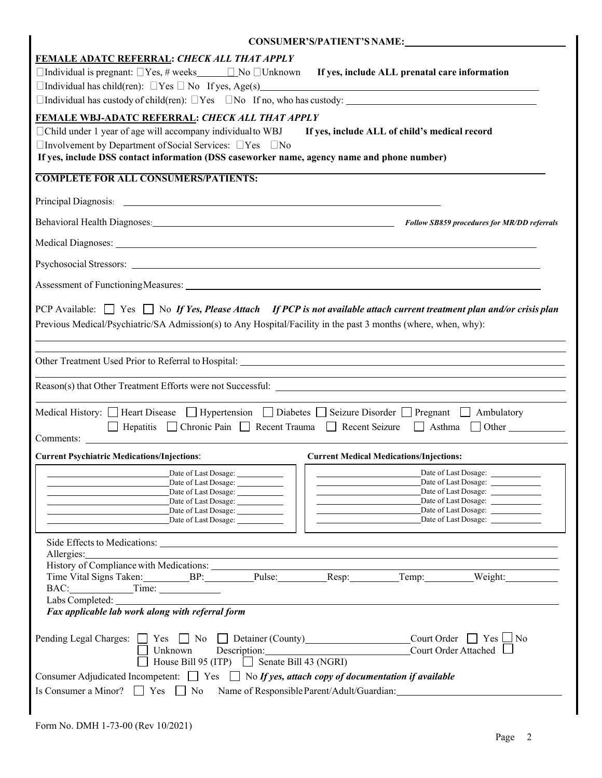| CONSUMER'S/PATIENT'S NAME:                                                                                                                                                                                                                                                                                                                                                                     |
|------------------------------------------------------------------------------------------------------------------------------------------------------------------------------------------------------------------------------------------------------------------------------------------------------------------------------------------------------------------------------------------------|
| <b>FEMALE ADATC REFERRAL: CHECK ALL THAT APPLY</b><br>$\Box$ Individual is pregnant: $\Box$ Yes, # weeks $\Box$ No $\Box$ Unknown<br>If yes, include ALL prenatal care information<br>$\Box$ Individual has custody of child(ren): $\Box$ Yes $\Box$ No If no, who has custody: $\Box$                                                                                                         |
| FEMALE WBJ-ADATC REFERRAL: CHECK ALL THAT APPLY<br>□ Child under 1 year of age will accompany individual to WBJ<br>If yes, include ALL of child's medical record<br>$\Box$ Involvement by Department of Social Services: $\Box$ Yes $\Box$ No<br>If yes, include DSS contact information (DSS caseworker name, agency name and phone number)                                                   |
| <b>COMPLETE FOR ALL CONSUMERS/PATIENTS:</b>                                                                                                                                                                                                                                                                                                                                                    |
|                                                                                                                                                                                                                                                                                                                                                                                                |
| Behavioral Health Diagnoses: <b>Example 2</b> Follow SB859 procedures for MR/DD referrals                                                                                                                                                                                                                                                                                                      |
| Medical Diagnoses: New York Contract the Contract of the Contract of the Contract of the Contract of the Contract of the Contract of the Contract of the Contract of the Contract of the Contract of the Contract of the Contr                                                                                                                                                                 |
|                                                                                                                                                                                                                                                                                                                                                                                                |
|                                                                                                                                                                                                                                                                                                                                                                                                |
| PCP Available: $\Box$ Yes $\Box$ No If Yes, Please Attach If PCP is not available attach current treatment plan and/or crisis plan<br>Previous Medical/Psychiatric/SA Admission(s) to Any Hospital/Facility in the past 3 months (where, when, why):                                                                                                                                           |
| and the control of the control of the control of the control of the control of the control of the control of the                                                                                                                                                                                                                                                                               |
|                                                                                                                                                                                                                                                                                                                                                                                                |
| Medical History: $\Box$ Heart Disease $\Box$ Hypertension $\Box$ Diabetes $\Box$ Seizure Disorder $\Box$ Pregnant $\Box$ Ambulatory<br>□ Hepatitis □ Chronic Pain □ Recent Trauma □ Recent Seizure □ Asthma □ Other                                                                                                                                                                            |
| <b>Current Psychiatric Medications/Injections:</b><br><b>Current Medical Medications/Injections:</b>                                                                                                                                                                                                                                                                                           |
| Date of Last Dosage:<br>Date of Last Dosage:<br>Date of Last Dosage:<br>Date of Last Dosage:<br>Date of Last Dosage:<br>Date of Last Dosage:<br>Date of Last Dosage:<br>Date of Last Dosage:<br>Date of Last Dosage: ______________<br>Date of Last Dosage: ____________                                                                                                                       |
| Allergies:<br>,我们也不会有什么。""我们的人,我们也不会有什么?""我们的人,我们也不会有什么?""我们的人,我们的人,我们的人,我们的人,我们的人,我们的人,我们的人,我<br>History of Compliance with Medications:<br>Time Vital Signs Taken: Pulse: Pulse: Resp: Temp: Weight: Weight:<br>Labs Completed:<br>Fax applicable lab work along with referral form                                                                                                          |
| $Count Order$ Yes $□$ No<br>Pending Legal Charges: $\Box$ Yes $\Box$ No $\Box$ Detainer (County)<br>Court Order Attached<br>Unknown<br>House Bill 95 (ITP) $\Box$ Senate Bill 43 (NGRI)<br>Consumer Adjudicated Incompetent: $\Box$ Yes $\Box$ No If yes, attach copy of documentation if available<br>Is Consumer a Minor? $\Box$ Yes $\Box$ No<br>Name of Responsible Parent/Adult/Guardian: |